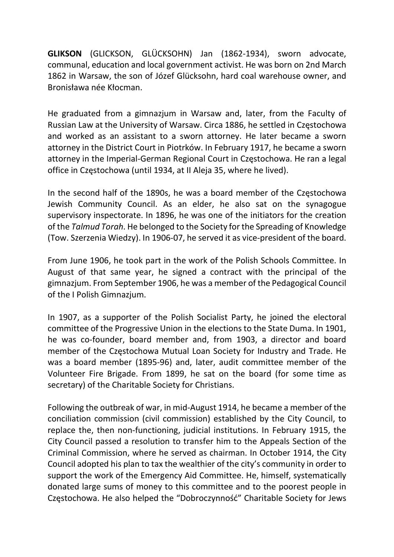GLIKSON (GLICKSON, GLÜCKSOHN) Jan (1862-1934), sworn advocate, communal, education and local government activist. He was born on 2nd March 1862 in Warsaw, the son of Józef Glücksohn, hard coal warehouse owner, and Bronisława née Kłocman.

He graduated from a gimnazjum in Warsaw and, later, from the Faculty of Russian Law at the University of Warsaw. Circa 1886, he settled in Częstochowa and worked as an assistant to a sworn attorney. He later became a sworn attorney in the District Court in Piotrków. In February 1917, he became a sworn attorney in the Imperial-German Regional Court in Częstochowa. He ran a legal office in Częstochowa (until 1934, at II Aleja 35, where he lived).

In the second half of the 1890s, he was a board member of the Częstochowa Jewish Community Council. As an elder, he also sat on the synagogue supervisory inspectorate. In 1896, he was one of the initiators for the creation of the Talmud Torah. He belonged to the Society for the Spreading of Knowledge (Tow. Szerzenia Wiedzy). In 1906-07, he served it as vice-president of the board.

From June 1906, he took part in the work of the Polish Schools Committee. In August of that same year, he signed a contract with the principal of the gimnazjum. From September 1906, he was a member of the Pedagogical Council of the I Polish Gimnazjum.

In 1907, as a supporter of the Polish Socialist Party, he joined the electoral committee of the Progressive Union in the elections to the State Duma. In 1901, he was co-founder, board member and, from 1903, a director and board member of the Częstochowa Mutual Loan Society for Industry and Trade. He was a board member (1895-96) and, later, audit committee member of the Volunteer Fire Brigade. From 1899, he sat on the board (for some time as secretary) of the Charitable Society for Christians.

Following the outbreak of war, in mid-August 1914, he became a member of the conciliation commission (civil commission) established by the City Council, to replace the, then non-functioning, judicial institutions. In February 1915, the City Council passed a resolution to transfer him to the Appeals Section of the Criminal Commission, where he served as chairman. In October 1914, the City Council adopted his plan to tax the wealthier of the city's community in order to support the work of the Emergency Aid Committee. He, himself, systematically donated large sums of money to this committee and to the poorest people in Częstochowa. He also helped the "Dobroczynność" Charitable Society for Jews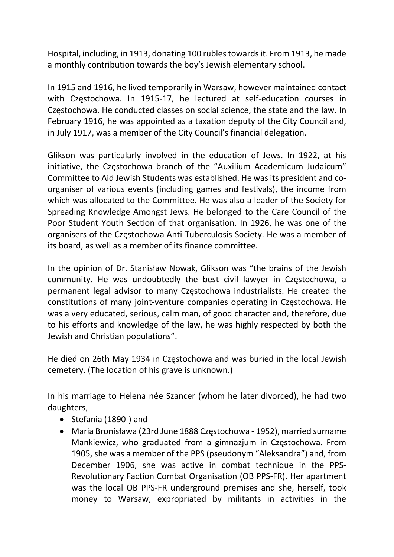Hospital, including, in 1913, donating 100 rubles towards it. From 1913, he made a monthly contribution towards the boy's Jewish elementary school.

In 1915 and 1916, he lived temporarily in Warsaw, however maintained contact with Częstochowa. In 1915-17, he lectured at self-education courses in Częstochowa. He conducted classes on social science, the state and the law. In February 1916, he was appointed as a taxation deputy of the City Council and, in July 1917, was a member of the City Council's financial delegation.

Glikson was particularly involved in the education of Jews. In 1922, at his initiative, the Częstochowa branch of the "Auxilium Academicum Judaicum" Committee to Aid Jewish Students was established. He was its president and coorganiser of various events (including games and festivals), the income from which was allocated to the Committee. He was also a leader of the Society for Spreading Knowledge Amongst Jews. He belonged to the Care Council of the Poor Student Youth Section of that organisation. In 1926, he was one of the organisers of the Częstochowa Anti-Tuberculosis Society. He was a member of its board, as well as a member of its finance committee.

In the opinion of Dr. Stanisław Nowak, Glikson was "the brains of the Jewish community. He was undoubtedly the best civil lawyer in Częstochowa, a permanent legal advisor to many Częstochowa industrialists. He created the constitutions of many joint-venture companies operating in Częstochowa. He was a very educated, serious, calm man, of good character and, therefore, due to his efforts and knowledge of the law, he was highly respected by both the Jewish and Christian populations".

He died on 26th May 1934 in Częstochowa and was buried in the local Jewish cemetery. (The location of his grave is unknown.)

In his marriage to Helena née Szancer (whom he later divorced), he had two daughters,

- Stefania (1890-) and
- Maria Bronisława (23rd June 1888 Częstochowa 1952), married surname Mankiewicz, who graduated from a gimnazjum in Częstochowa. From 1905, she was a member of the PPS (pseudonym "Aleksandra") and, from December 1906, she was active in combat technique in the PPS-Revolutionary Faction Combat Organisation (OB PPS-FR). Her apartment was the local OB PPS-FR underground premises and she, herself, took money to Warsaw, expropriated by militants in activities in the